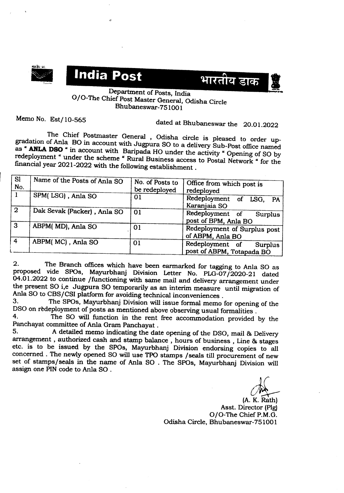





## Department of Posts, India 0/0- The Chief Post Master General, Odisha Circle Bhubaneswar-75100 1

Memo No. Est/10-565 dated at Bhubaneswar the 20.01.2022

The Chief Postmaster General , Odisha circle is pleased to order upgradation of Anla BO in account with Jugpura SO to a delivery Sub-Post office named as « **ANLA DSO ..** in account with Baripada HOunder the activity" Opening of SO by redeployment " under the scheme " Rural Business access to Postal Network " for the fmancial year 2021-2022 with the following establishment.

| <b>SI</b><br>No. | Name of the Posts of Anla SO | No. of Posts to<br>be redeployed | Office from which post is<br>redeployed                 |
|------------------|------------------------------|----------------------------------|---------------------------------------------------------|
|                  | SPM(LSG), Anla SO            | 01                               | Redeployment of LSG,<br><b>PA</b><br>Karanjaia SO       |
| $\overline{2}$   | Dak Sevak (Packer), Anla SO  | 01                               | Redeployment of<br>Surplus<br>post of BPM, Anla BO      |
| $\overline{3}$   | ABPM(MD), Anla SO            | 01                               | Redeployment of Surplus post<br>of ABPM, Anla BO        |
| $\vert 4 \vert$  | ABPM(MC), Anla SO            | 01                               | Redeployment of<br>Surplus<br>post of ABPM, Totapada BO |

2. The Branch offices which have been earmarked for tagging to Anla SO as proposed vide SPOs, Mayurbhanj Division Letter No. PLG-07/2020-21 dated 04.01.2022 to continue /functioning with same mail and delivery arrangement under the present SO i,e Jugpura SO temporarily as an interim measure until migration of Anla SO to CBS/CSI platform for avoiding technical inconveniences.<br>3. The SPOs. Mayurbhani Division will issue formal memo.

The SPOs, Mayurbhanj Division will issue formal memo for opening of the DSO on redeployment of posts as mentioned above observing usual formalities.<br>4. The SO will function in the rent free accommodation maxidal

The SO will function in the rent free accommodation provided by the Panchayat committee of Anla Gram Panchayat .<br>5. A detailed memo indicating the date

A detailed memo indicating the date opening of the DSO, mail & Delivery arrangement , authorized cash and stamp balance , hours of business , Line& stages etc. is to be issued by the SPOs, Mayurbhanj Division endorsing copies to all concerned . The newly opened SO will use TPO stamps /seals till procurement of new set of stamps/seals in the name of Anla SO. The SPOs, Mayurbhanj Division will assign one PIN code to Anla SO.

d£\_

(A. K. Rath) Asst. Director (Plg) O/O-The Chief P.M.G. Odisha Circle, Bhubaneswar-751001